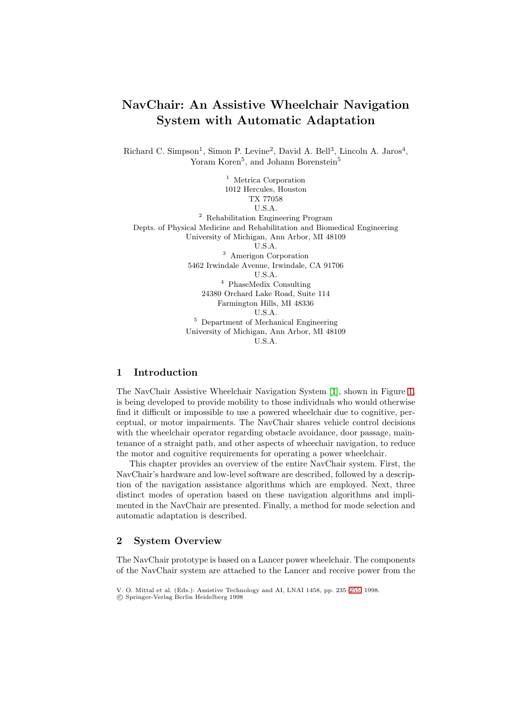# **NavChair: An Assistive Wheelchair Navigation System with Automatic Adaptation**

Richard C. Simpson<sup>1</sup>, Simon P. Levine<sup>2</sup>, David A. Bell<sup>3</sup>, Lincoln A. Jaros<sup>4</sup>, Yoram Koren<sup>5</sup>, and Johann Borenstein<sup>5</sup>

<sup>1</sup> Metrica Corporation 1012 Hercules, Houston TX 77058 U.S.A. <sup>2</sup> Rehabilitation Engineering Program Depts. of Physical Medicine and Rehabilitation and Biomedical Engineering University of Michigan, Ann Arbor, MI 48109 U.S.A. <sup>3</sup> Amerigon Corporation 5462 Irwindale Avenue, Irwindale, CA 91706 U.S.A. <sup>4</sup> PhaseMedix Consulting 24380 Orchard Lake Road, Suite 114 Farmington Hills, MI 48336 U.S.A. <sup>5</sup> Department of Mechanical Engineering University of Michigan, Ann Arbor, MI 48109 U.S.A.

## **1 Introduction**

The NavChair Assistive Wheelchair Navigation System [\[1\]](#page-20-0), shown in Figure [1,](#page-1-0) is being developed to provide mobility to those individuals who would otherwise find it difficult or impossible to use a powered wheelchair due to cognitive, perceptual, or motor impairments. The NavChair shares vehicle control decisions with the wheelchair operator regarding obstacle avoidance, door passage, maintenance of a straight path, and other aspects of wheechair navigation, to reduce the motor and cognitive requirements for operating a power wheelchair.

This chapter provides an overview of the entire NavChair system. First, the NavChair's hardware and low-level software are described, followed by a description of the navigation assistance algorithms which are employed. Next, three distinct modes of operation based on these navigation algorithms and implimented in the NavChair are presented. Finally, a method for mode selection and automatic adaptation is described.

## **2 System Overview**

The NavChair prototype is based on a Lancer power wheelchair. The components of the NavChair system are attached to the Lancer and receive power from the

V. O. Mittal et al. (Eds.): Assistive Technology and AI, LNAI 1458, pp. 235[–255,](#page-20-1) 1998.

c Springer-Verlag Berlin Heidelberg 1998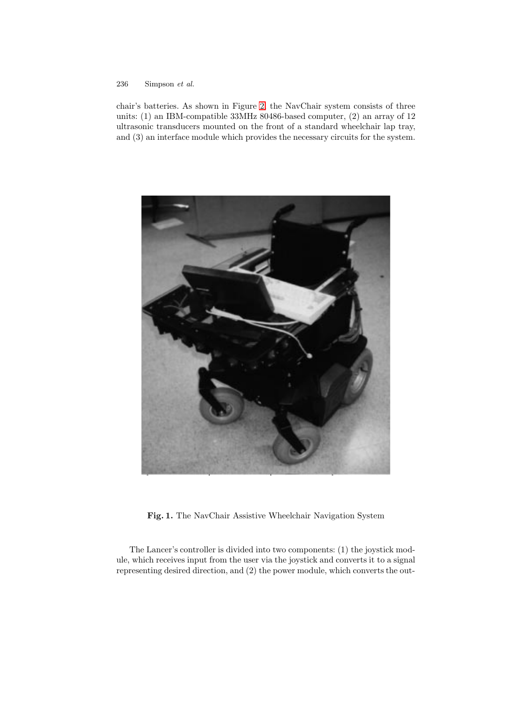236 Simpson et al.

chair's batteries. As shown in Figure [2,](#page-2-0) the NavChair system consists of three units: (1) an IBM-compatible 33MHz 80486-based computer, (2) an array of 12 ultrasonic transducers mounted on the front of a standard wheelchair lap tray, and (3) an interface module which provides the necessary circuits for the system.



**Fig. 1.** The NavChair Assistive Wheelchair Navigation System

<span id="page-1-0"></span>The Lancer's controller is divided into two components: (1) the joystick module, which receives input from the user via the joystick and converts it to a signal representing desired direction, and (2) the power module, which converts the out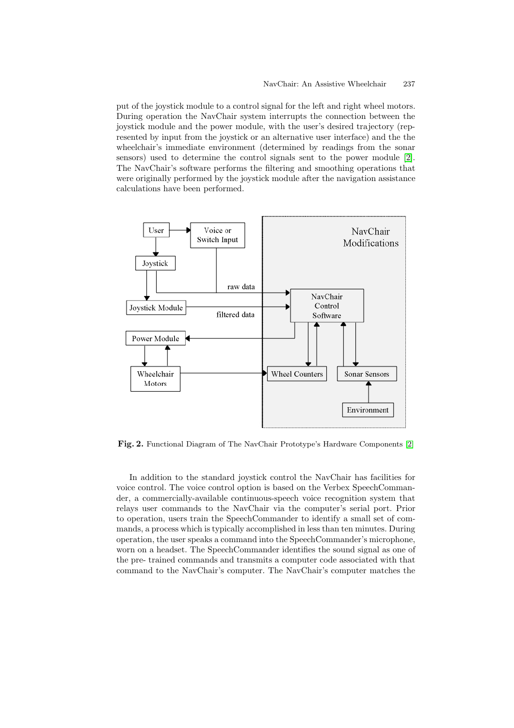put of the joystick module to a control signal for the left and right wheel motors. During operation the NavChair system interrupts the connection between the joystick module and the power module, with the user's desired trajectory (represented by input from the joystick or an alternative user interface) and the the wheelchair's immediate environment (determined by readings from the sonar sensors) used to determine the control signals sent to the power module [\[2\]](#page-20-2). The NavChair's software performs the filtering and smoothing operations that were originally performed by the joystick module after the navigation assistance calculations have been performed.



<span id="page-2-0"></span>**Fig. 2.** Functional Diagram of The NavChair Prototype's Hardware Components [\[2\]](#page-20-2)

In addition to the standard joystick control the NavChair has facilities for voice control. The voice control option is based on the Verbex SpeechCommander, a commercially-available continuous-speech voice recognition system that relays user commands to the NavChair via the computer's serial port. Prior to operation, users train the SpeechCommander to identify a small set of commands, a process which is typically accomplished in less than ten minutes. During operation, the user speaks a command into the SpeechCommander's microphone, worn on a headset. The SpeechCommander identifies the sound signal as one of the pre- trained commands and transmits a computer code associated with that command to the NavChair's computer. The NavChair's computer matches the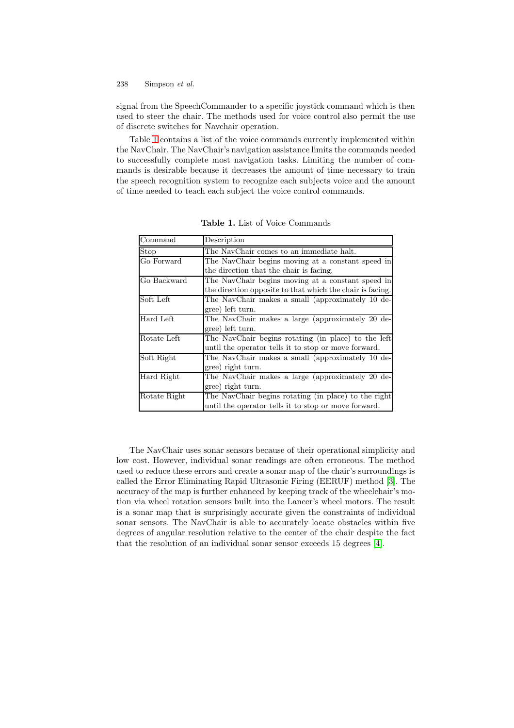signal from the SpeechCommander to a specific joystick command which is then used to steer the chair. The methods used for voice control also permit the use of discrete switches for Navchair operation.

Table [1](#page-3-0) contains a list of the voice commands currently implemented within the NavChair. The NavChair's navigation assistance limits the commands needed to successfully complete most navigation tasks. Limiting the number of commands is desirable because it decreases the amount of time necessary to train the speech recognition system to recognize each subjects voice and the amount of time needed to teach each subject the voice control commands.

| Command      | Description                                               |
|--------------|-----------------------------------------------------------|
| Stop         | The NavChair comes to an immediate halt.                  |
| Go Forward   | The NavChair begins moving at a constant speed in         |
|              | the direction that the chair is facing.                   |
| Go Backward  | The NavChair begins moving at a constant speed in         |
|              | the direction opposite to that which the chair is facing. |
| Soft Left    | The NavChair makes a small (approximately 10 de-          |
|              | gree) left turn.                                          |
| Hard Left    | The NavChair makes a large (approximately 20 de-          |
|              | gree) left turn.                                          |
| Rotate Left  | The NavChair begins rotating (in place) to the left       |
|              | until the operator tells it to stop or move forward.      |
| Soft Right   | The NavChair makes a small (approximately 10 de-          |
|              | gree) right turn.                                         |
| Hard Right   | The NavChair makes a large (approximately 20 de-          |
|              | gree) right turn.                                         |
| Rotate Right | The NavChair begins rotating (in place) to the right      |
|              | until the operator tells it to stop or move forward.      |

<span id="page-3-0"></span>**Table 1.** List of Voice Commands

The NavChair uses sonar sensors because of their operational simplicity and low cost. However, individual sonar readings are often erroneous. The method used to reduce these errors and create a sonar map of the chair's surroundings is called the Error Eliminating Rapid Ultrasonic Firing (EERUF) method [\[3\]](#page-20-3). The accuracy of the map is further enhanced by keeping track of the wheelchair's motion via wheel rotation sensors built into the Lancer's wheel motors. The result is a sonar map that is surprisingly accurate given the constraints of individual sonar sensors. The NavChair is able to accurately locate obstacles within five degrees of angular resolution relative to the center of the chair despite the fact that the resolution of an individual sonar sensor exceeds 15 degrees [\[4\]](#page-20-4).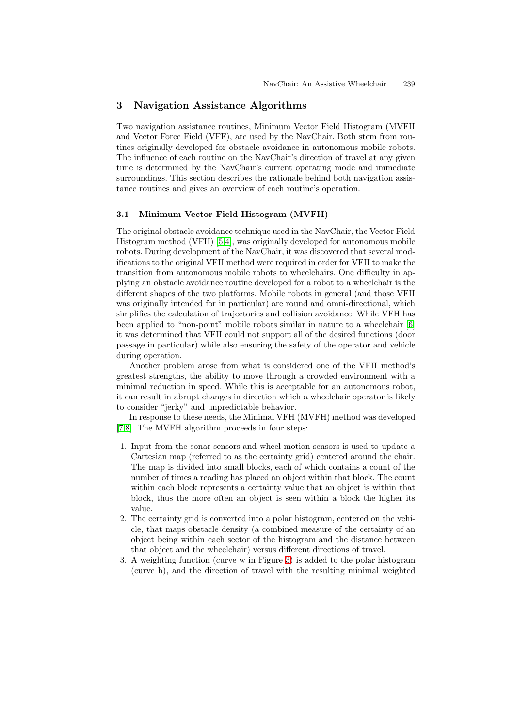## **3 Navigation Assistance Algorithms**

Two navigation assistance routines, Minimum Vector Field Histogram (MVFH and Vector Force Field (VFF), are used by the NavChair. Both stem from routines originally developed for obstacle avoidance in autonomous mobile robots. The influence of each routine on the NavChair's direction of travel at any given time is determined by the NavChair's current operating mode and immediate surroundings. This section describes the rationale behind both navigation assistance routines and gives an overview of each routine's operation.

#### **3.1 Minimum Vector Field Histogram (MVFH)**

The original obstacle avoidance technique used in the NavChair, the Vector Field Histogram method (VFH) [\[5,](#page-20-5)[4\]](#page-20-6), was originally developed for autonomous mobile robots. During development of the NavChair, it was discovered that several modifications to the original VFH method were required in order for VFH to make the transition from autonomous mobile robots to wheelchairs. One difficulty in applying an obstacle avoidance routine developed for a robot to a wheelchair is the different shapes of the two platforms. Mobile robots in general (and those VFH was originally intended for in particular) are round and omni-directional, which simplifies the calculation of trajectories and collision avoidance. While VFH has been applied to "non-point" mobile robots similar in nature to a wheelchair [\[6\]](#page-20-7) it was determined that VFH could not support all of the desired functions (door passage in particular) while also ensuring the safety of the operator and vehicle during operation.

Another problem arose from what is considered one of the VFH method's greatest strengths, the ability to move through a crowded environment with a minimal reduction in speed. While this is acceptable for an autonomous robot, it can result in abrupt changes in direction which a wheelchair operator is likely to consider "jerky" and unpredictable behavior.

In response to these needs, the Minimal VFH (MVFH) method was developed [\[7,](#page-20-8)[8\]](#page-20-9). The MVFH algorithm proceeds in four steps:

- 1. Input from the sonar sensors and wheel motion sensors is used to update a Cartesian map (referred to as the certainty grid) centered around the chair. The map is divided into small blocks, each of which contains a count of the number of times a reading has placed an object within that block. The count within each block represents a certainty value that an object is within that block, thus the more often an object is seen within a block the higher its value.
- 2. The certainty grid is converted into a polar histogram, centered on the vehicle, that maps obstacle density (a combined measure of the certainty of an object being within each sector of the histogram and the distance between that object and the wheelchair) versus different directions of travel.
- 3. A weighting function (curve w in Figure [3\)](#page-5-0) is added to the polar histogram (curve h), and the direction of travel with the resulting minimal weighted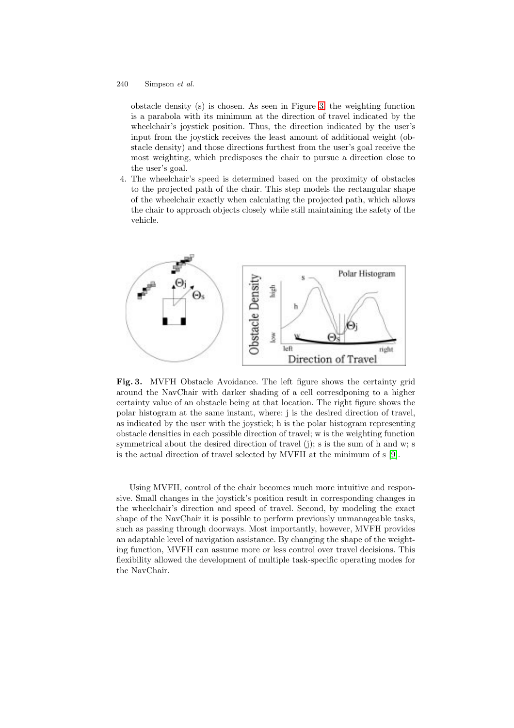obstacle density (s) is chosen. As seen in Figure [3,](#page-5-1) the weighting function is a parabola with its minimum at the direction of travel indicated by the wheelchair's joystick position. Thus, the direction indicated by the user's input from the joystick receives the least amount of additional weight (obstacle density) and those directions furthest from the user's goal receive the most weighting, which predisposes the chair to pursue a direction close to the user's goal.

4. The wheelchair's speed is determined based on the proximity of obstacles to the projected path of the chair. This step models the rectangular shape of the wheelchair exactly when calculating the projected path, which allows the chair to approach objects closely while still maintaining the safety of the vehicle.



<span id="page-5-1"></span><span id="page-5-0"></span>**Fig. 3.** MVFH Obstacle Avoidance. The left figure shows the certainty grid around the NavChair with darker shading of a cell corresdponing to a higher certainty value of an obstacle being at that location. The right figure shows the polar histogram at the same instant, where: j is the desired direction of travel, as indicated by the user with the joystick; h is the polar histogram representing obstacle densities in each possible direction of travel; w is the weighting function symmetrical about the desired direction of travel (j); s is the sum of h and w; s is the actual direction of travel selected by MVFH at the minimum of s [\[9\]](#page-20-10).

Using MVFH, control of the chair becomes much more intuitive and responsive. Small changes in the joystick's position result in corresponding changes in the wheelchair's direction and speed of travel. Second, by modeling the exact shape of the NavChair it is possible to perform previously unmanageable tasks, such as passing through doorways. Most importantly, however, MVFH provides an adaptable level of navigation assistance. By changing the shape of the weighting function, MVFH can assume more or less control over travel decisions. This flexibility allowed the development of multiple task-specific operating modes for the NavChair.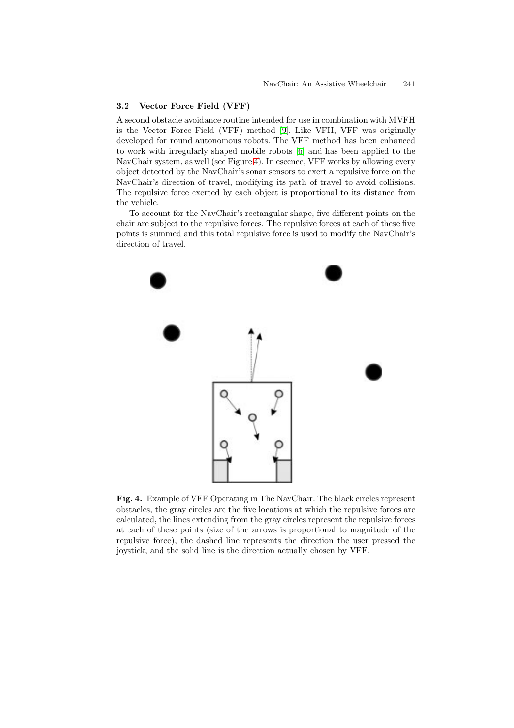### **3.2 Vector Force Field (VFF)**

A second obstacle avoidance routine intended for use in combination with MVFH is the Vector Force Field (VFF) method [\[9\]](#page-20-11). Like VFH, VFF was originally developed for round autonomous robots. The VFF method has been enhanced to work with irregularly shaped mobile robots [\[6\]](#page-20-7) and has been applied to the NavChair system, as well (see Figure [4\)](#page-6-0). In escence, VFF works by allowing every object detected by the NavChair's sonar sensors to exert a repulsive force on the NavChair's direction of travel, modifying its path of travel to avoid collisions. The repulsive force exerted by each object is proportional to its distance from the vehicle.

To account for the NavChair's rectangular shape, five different points on the chair are subject to the repulsive forces. The repulsive forces at each of these five points is summed and this total repulsive force is used to modify the NavChair's direction of travel.



<span id="page-6-0"></span>**Fig. 4.** Example of VFF Operating in The NavChair. The black circles represent obstacles, the gray circles are the five locations at which the repulsive forces are calculated, the lines extending from the gray circles represent the repulsive forces at each of these points (size of the arrows is proportional to magnitude of the repulsive force), the dashed line represents the direction the user pressed the joystick, and the solid line is the direction actually chosen by VFF.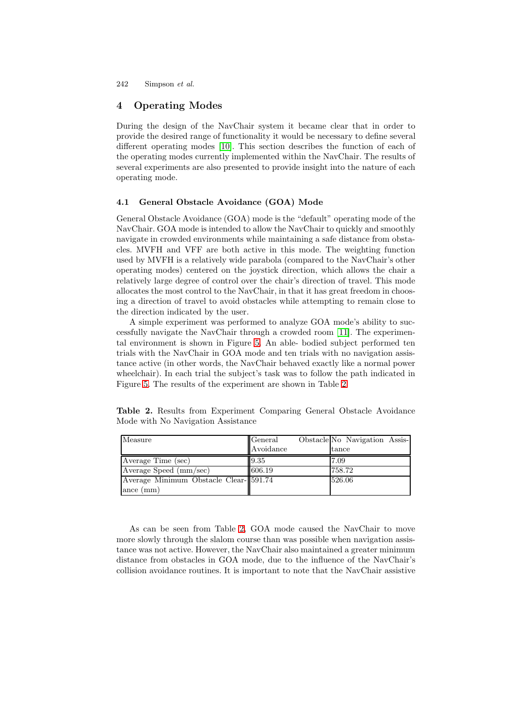## **4 Operating Modes**

During the design of the NavChair system it became clear that in order to provide the desired range of functionality it would be necessary to define several different operating modes [\[10\]](#page-20-12). This section describes the function of each of the operating modes currently implemented within the NavChair. The results of several experiments are also presented to provide insight into the nature of each operating mode.

#### **4.1 General Obstacle Avoidance (GOA) Mode**

General Obstacle Avoidance (GOA) mode is the "default" operating mode of the NavChair. GOA mode is intended to allow the NavChair to quickly and smoothly navigate in crowded environments while maintaining a safe distance from obstacles. MVFH and VFF are both active in this mode. The weighting function used by MVFH is a relatively wide parabola (compared to the NavChair's other operating modes) centered on the joystick direction, which allows the chair a relatively large degree of control over the chair's direction of travel. This mode allocates the most control to the NavChair, in that it has great freedom in choosing a direction of travel to avoid obstacles while attempting to remain close to the direction indicated by the user.

A simple experiment was performed to analyze GOA mode's ability to successfully navigate the NavChair through a crowded room [\[11\]](#page-20-13). The experimental environment is shown in Figure [5.](#page-8-0) An able- bodied subject performed ten trials with the NavChair in GOA mode and ten trials with no navigation assistance active (in other words, the NavChair behaved exactly like a normal power wheelchair). In each trial the subject's task was to follow the path indicated in Figure [5.](#page-8-0) The results of the experiment are shown in Table [2.](#page-7-0)

| Measure                                | General   | Obstacle No Navigation Assis- |
|----------------------------------------|-----------|-------------------------------|
|                                        | Avoidance | tance                         |
| Average Time (sec)                     | 9.35      | 7.09                          |
| Average Speed (mm/sec)                 | 606.19    | 758.72                        |
| Average Minimum Obstacle Clear-1591.74 |           | 526.06                        |
| ance $(mm)$                            |           |                               |

<span id="page-7-0"></span>**Table 2.** Results from Experiment Comparing General Obstacle Avoidance Mode with No Navigation Assistance

As can be seen from Table [2,](#page-7-0) GOA mode caused the NavChair to move more slowly through the slalom course than was possible when navigation assistance was not active. However, the NavChair also maintained a greater minimum distance from obstacles in GOA mode, due to the influence of the NavChair's collision avoidance routines. It is important to note that the NavChair assistive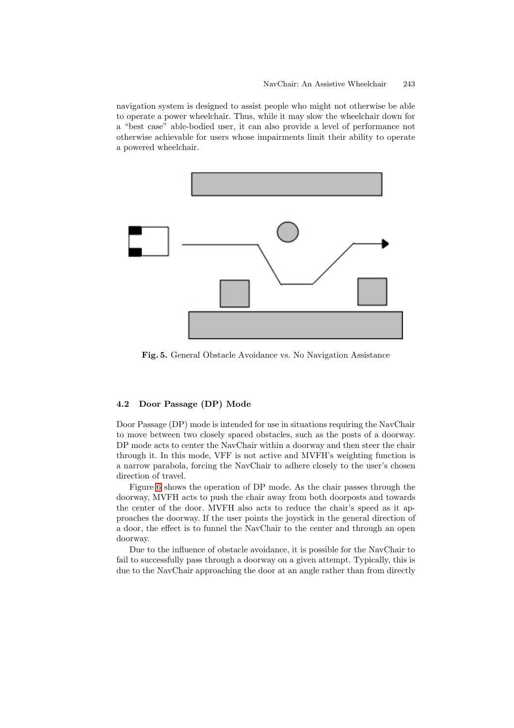navigation system is designed to assist people who might not otherwise be able to operate a power wheelchair. Thus, while it may slow the wheelchair down for a "best case" able-bodied user, it can also provide a level of performance not otherwise achievable for users whose impairments limit their ability to operate a powered wheelchair.



**Fig. 5.** General Obstacle Avoidance vs. No Navigation Assistance

## <span id="page-8-0"></span>**4.2 Door Passage (DP) Mode**

Door Passage (DP) mode is intended for use in situations requiring the NavChair to move between two closely spaced obstacles, such as the posts of a doorway. DP mode acts to center the NavChair within a doorway and then steer the chair through it. In this mode, VFF is not active and MVFH's weighting function is a narrow parabola, forcing the NavChair to adhere closely to the user's chosen direction of travel.

Figure [6](#page-9-0) shows the operation of DP mode. As the chair passes through the doorway, MVFH acts to push the chair away from both doorposts and towards the center of the door. MVFH also acts to reduce the chair's speed as it approaches the doorway. If the user points the joystick in the general direction of a door, the effect is to funnel the NavChair to the center and through an open doorway.

Due to the influence of obstacle avoidance, it is possible for the NavChair to fail to successfully pass through a doorway on a given attempt. Typically, this is due to the NavChair approaching the door at an angle rather than from directly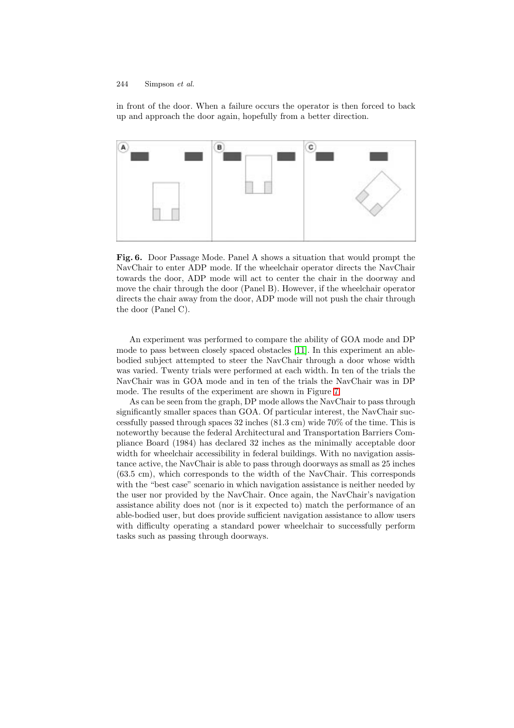in front of the door. When a failure occurs the operator is then forced to back up and approach the door again, hopefully from a better direction.



<span id="page-9-0"></span>**Fig. 6.** Door Passage Mode. Panel A shows a situation that would prompt the NavChair to enter ADP mode. If the wheelchair operator directs the NavChair towards the door, ADP mode will act to center the chair in the doorway and move the chair through the door (Panel B). However, if the wheelchair operator directs the chair away from the door, ADP mode will not push the chair through the door (Panel C).

An experiment was performed to compare the ability of GOA mode and DP mode to pass between closely spaced obstacles [\[11\]](#page-20-13). In this experiment an ablebodied subject attempted to steer the NavChair through a door whose width was varied. Twenty trials were performed at each width. In ten of the trials the NavChair was in GOA mode and in ten of the trials the NavChair was in DP mode. The results of the experiment are shown in Figure [7.](#page-10-0)

As can be seen from the graph, DP mode allows the NavChair to pass through significantly smaller spaces than GOA. Of particular interest, the NavChair successfully passed through spaces 32 inches (81.3 cm) wide 70% of the time. This is noteworthy because the federal Architectural and Transportation Barriers Compliance Board (1984) has declared 32 inches as the minimally acceptable door width for wheelchair accessibility in federal buildings. With no navigation assistance active, the NavChair is able to pass through doorways as small as 25 inches (63.5 cm), which corresponds to the width of the NavChair. This corresponds with the "best case" scenario in which navigation assistance is neither needed by the user nor provided by the NavChair. Once again, the NavChair's navigation assistance ability does not (nor is it expected to) match the performance of an able-bodied user, but does provide sufficient navigation assistance to allow users with difficulty operating a standard power wheelchair to successfully perform tasks such as passing through doorways.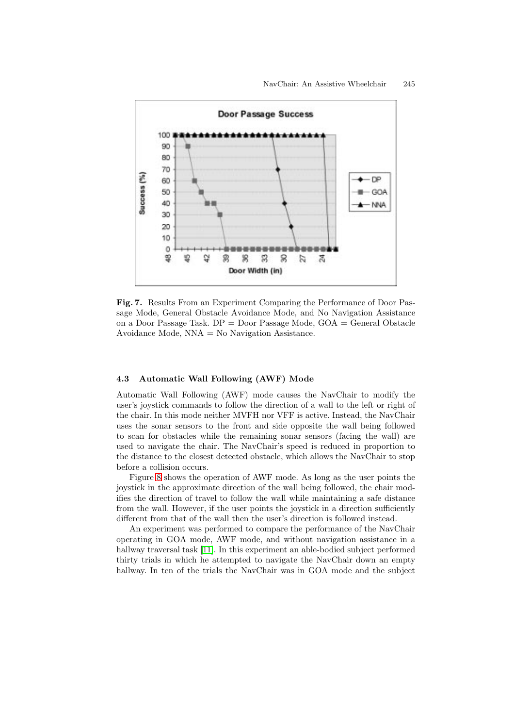

<span id="page-10-0"></span>**Fig. 7.** Results From an Experiment Comparing the Performance of Door Passage Mode, General Obstacle Avoidance Mode, and No Navigation Assistance on a Door Passage Task. DP = Door Passage Mode, GOA = General Obstacle Avoidance Mode, NNA = No Navigation Assistance.

#### **4.3 Automatic Wall Following (AWF) Mode**

Automatic Wall Following (AWF) mode causes the NavChair to modify the user's joystick commands to follow the direction of a wall to the left or right of the chair. In this mode neither MVFH nor VFF is active. Instead, the NavChair uses the sonar sensors to the front and side opposite the wall being followed to scan for obstacles while the remaining sonar sensors (facing the wall) are used to navigate the chair. The NavChair's speed is reduced in proportion to the distance to the closest detected obstacle, which allows the NavChair to stop before a collision occurs.

Figure [8](#page-11-0) shows the operation of AWF mode. As long as the user points the joystick in the approximate direction of the wall being followed, the chair modifies the direction of travel to follow the wall while maintaining a safe distance from the wall. However, if the user points the joystick in a direction sufficiently different from that of the wall then the user's direction is followed instead.

An experiment was performed to compare the performance of the NavChair operating in GOA mode, AWF mode, and without navigation assistance in a hallway traversal task [\[11\]](#page-20-14). In this experiment an able-bodied subject performed thirty trials in which he attempted to navigate the NavChair down an empty hallway. In ten of the trials the NavChair was in GOA mode and the subject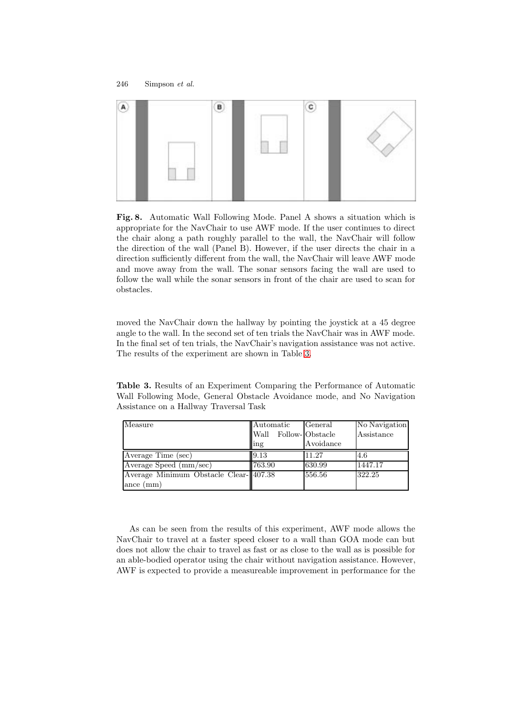

<span id="page-11-0"></span>**Fig. 8.** Automatic Wall Following Mode. Panel A shows a situation which is appropriate for the NavChair to use AWF mode. If the user continues to direct the chair along a path roughly parallel to the wall, the NavChair will follow the direction of the wall (Panel B). However, if the user directs the chair in a direction sufficiently different from the wall, the NavChair will leave AWF mode and move away from the wall. The sonar sensors facing the wall are used to follow the wall while the sonar sensors in front of the chair are used to scan for obstacles.

moved the NavChair down the hallway by pointing the joystick at a 45 degree angle to the wall. In the second set of ten trials the NavChair was in AWF mode. In the final set of ten trials, the NavChair's navigation assistance was not active. The results of the experiment are shown in Table [3.](#page-11-1)

| Measure                                | Automatic            | General   | No Navigation |
|----------------------------------------|----------------------|-----------|---------------|
|                                        | Wall Follow-Obstacle |           | Assistance    |
|                                        | ling                 | Avoidance |               |
| Average Time (sec)                     | 9.13                 | 11.27     | 4.6           |
| Average Speed (mm/sec)                 | 763.90               | 630.99    | 1447.17       |
| Average Minimum Obstacle Clear-1407.38 |                      | 556.56    | 322.25        |
| ance $(mm)$                            |                      |           |               |

<span id="page-11-1"></span>**Table 3.** Results of an Experiment Comparing the Performance of Automatic Wall Following Mode, General Obstacle Avoidance mode, and No Navigation Assistance on a Hallway Traversal Task

As can be seen from the results of this experiment, AWF mode allows the NavChair to travel at a faster speed closer to a wall than GOA mode can but does not allow the chair to travel as fast or as close to the wall as is possible for an able-bodied operator using the chair without navigation assistance. However, AWF is expected to provide a measureable improvement in performance for the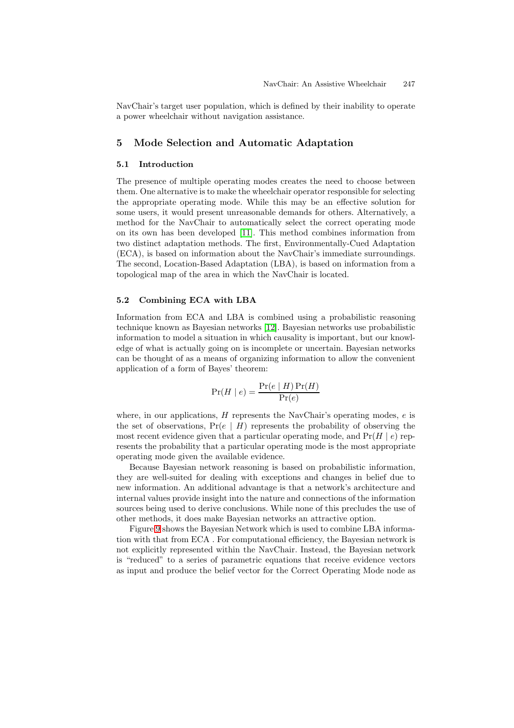NavChair's target user population, which is defined by their inability to operate a power wheelchair without navigation assistance.

# **5 Mode Selection and Automatic Adaptation**

#### **5.1 Introduction**

The presence of multiple operating modes creates the need to choose between them. One alternative is to make the wheelchair operator responsible for selecting the appropriate operating mode. While this may be an effective solution for some users, it would present unreasonable demands for others. Alternatively, a method for the NavChair to automatically select the correct operating mode on its own has been developed [\[11\]](#page-20-14). This method combines information from two distinct adaptation methods. The first, Environmentally-Cued Adaptation (ECA), is based on information about the NavChair's immediate surroundings. The second, Location-Based Adaptation (LBA), is based on information from a topological map of the area in which the NavChair is located.

#### **5.2 Combining ECA with LBA**

Information from ECA and LBA is combined using a probabilistic reasoning technique known as Bayesian networks [\[12\]](#page-20-15). Bayesian networks use probabilistic information to model a situation in which causality is important, but our knowledge of what is actually going on is incomplete or uncertain. Bayesian networks can be thought of as a means of organizing information to allow the convenient application of a form of Bayes' theorem:

$$
\Pr(H \mid e) = \frac{\Pr(e \mid H) \Pr(H)}{\Pr(e)}
$$

where, in our applications,  $H$  represents the NavChair's operating modes,  $e$  is the set of observations,  $Pr(e \mid H)$  represents the probability of observing the most recent evidence given that a particular operating mode, and  $Pr(H | e)$  represents the probability that a particular operating mode is the most appropriate operating mode given the available evidence.

Because Bayesian network reasoning is based on probabilistic information, they are well-suited for dealing with exceptions and changes in belief due to new information. An additional advantage is that a network's architecture and internal values provide insight into the nature and connections of the information sources being used to derive conclusions. While none of this precludes the use of other methods, it does make Bayesian networks an attractive option.

Figure [9](#page-13-0) shows the Bayesian Network which is used to combine LBA information with that from ECA . For computational efficiency, the Bayesian network is not explicitly represented within the NavChair. Instead, the Bayesian network is "reduced" to a series of parametric equations that receive evidence vectors as input and produce the belief vector for the Correct Operating Mode node as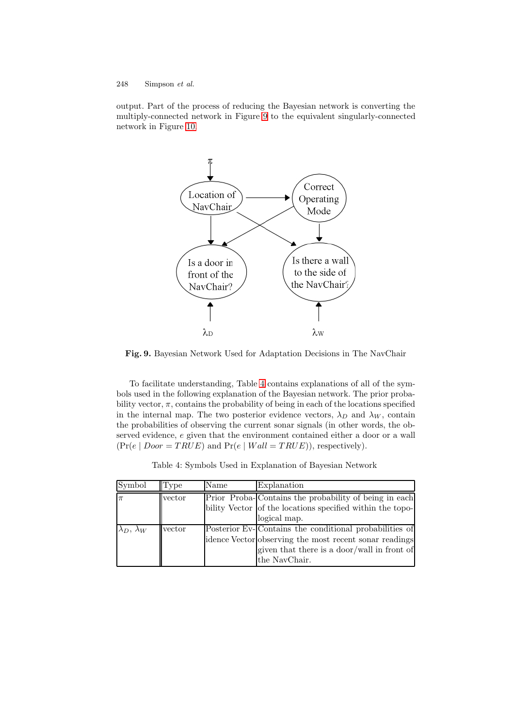output. Part of the process of reducing the Bayesian network is converting the multiply-connected network in Figure [9](#page-13-1) to the equivalent singularly-connected network in Figure [10.](#page-16-0)



<span id="page-13-0"></span>**Fig. 9.** Bayesian Network Used for Adaptation Decisions in The NavChair

<span id="page-13-1"></span>To facilitate understanding, Table [4](#page-13-2) contains explanations of all of the symbols used in the following explanation of the Bayesian network. The prior probability vector,  $\pi$ , contains the probability of being in each of the locations specified in the internal map. The two posterior evidence vectors,  $\lambda_D$  and  $\lambda_W$ , contain the probabilities of observing the current sonar signals (in other words, the observed evidence, e given that the environment contained either a door or a wall  $(\Pr(e \mid Door = TRUE)$  and  $\Pr(e \mid Wall = TRUE)$ , respectively).

| Table 4: Symbols Used in Explanation of Bayesian Network |  |  |  |  |
|----------------------------------------------------------|--|--|--|--|
|----------------------------------------------------------|--|--|--|--|

<span id="page-13-2"></span>

| Symbol                    | Type   | Name | Explanation                                                                                                                                                                      |
|---------------------------|--------|------|----------------------------------------------------------------------------------------------------------------------------------------------------------------------------------|
| $\pi$                     | vector |      | Prior Proba-Contains the probability of being in each<br>bility Vector of the locations specified within the topo-<br>logical map.                                               |
| $\lambda_D, \, \lambda_W$ | vector |      | Posterior Ev-Contains the conditional probabilities of<br>idence Vector observing the most recent sonar readings<br>given that there is a door/wall in front of<br>the NavChair. |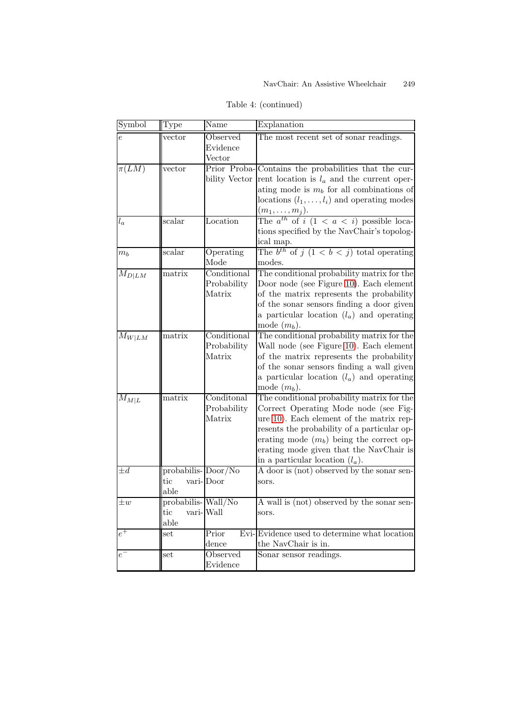|  | Table 4: (continued) |
|--|----------------------|
|--|----------------------|

| Symbol                | $\overline{\mathrm{Type}}$        | Name                                 | Explanation                                                                                                                                                                                                                                                                                                   |
|-----------------------|-----------------------------------|--------------------------------------|---------------------------------------------------------------------------------------------------------------------------------------------------------------------------------------------------------------------------------------------------------------------------------------------------------------|
| $\overline{e}$        | vector                            | Observed<br>Evidence<br>Vector       | The most recent set of sonar readings.                                                                                                                                                                                                                                                                        |
| $\pi(LM)$             | vector                            | bility Vector                        | Prior Proba-Contains the probabilities that the cur-<br>rent location is $l_a$ and the current oper-<br>ating mode is $m_b$ for all combinations of<br>locations $(l_1, \ldots, l_i)$ and operating modes<br>$(m_1, \ldots, m_j)$ .<br>The $a^{th}$ of $i$ $(1 \lt a \lt i)$ possible loca-                   |
| $l_a$                 | $_{\rm scalar}$                   | Location                             | tions specified by the NavChair's topolog-<br>ical map.                                                                                                                                                                                                                                                       |
| $m_b$                 | $_{\rm scalar}$                   | Operating<br>Mode                    | The $b^{th}$ of $j$ $(1 < b < j)$ total operating<br>modes.                                                                                                                                                                                                                                                   |
| $\overline{M}_{D LM}$ | matrix                            | Conditional<br>Probability<br>Matrix | The conditional probability matrix for the<br>Door node (see Figure 10). Each element<br>of the matrix represents the probability<br>of the sonar sensors finding a door given<br>a particular location $(l_a)$ and operating<br>mode $(m_b)$ .                                                               |
| $\overline{M}_{W LM}$ | $\text{matrix}$                   | Conditional<br>Probability<br>Matrix | The conditional probability matrix for the<br>Wall node (see Figure 10). Each element<br>of the matrix represents the probability<br>of the sonar sensors finding a wall given<br>a particular location $(l_a)$ and operating<br>mode $(m_b)$ .                                                               |
| $\overline{M}_{M L}$  | $\text{matrix}$                   | Conditonal<br>Probability<br>Matrix  | The conditional probability matrix for the<br>Correct Operating Mode node (see Fig-<br>ure 10). Each element of the matrix rep-<br>resents the probability of a particular op-<br>erating mode $(m_b)$ being the correct op-<br>erating mode given that the NavChair is<br>in a particular location $(l_a)$ . |
| $\overline{\pm d}$    | probabilis-Door/No<br>tic<br>able | vari-Door                            | A door is (not) observed by the sonar sen-<br>sors.                                                                                                                                                                                                                                                           |
| $\pm w$               | probabilis-Wall/No<br>tic<br>able | vari-Wall                            | A wall is (not) observed by the sonar sen-<br>sors.                                                                                                                                                                                                                                                           |
| $e^+$                 | $\operatorname{set}$              | Prior<br>dence                       | Evi-Evidence used to determine what location<br>the NavChair is in.                                                                                                                                                                                                                                           |
| $e^-$                 | $\operatorname{set}$              | Observed<br>Evidence                 | Sonar sensor readings.                                                                                                                                                                                                                                                                                        |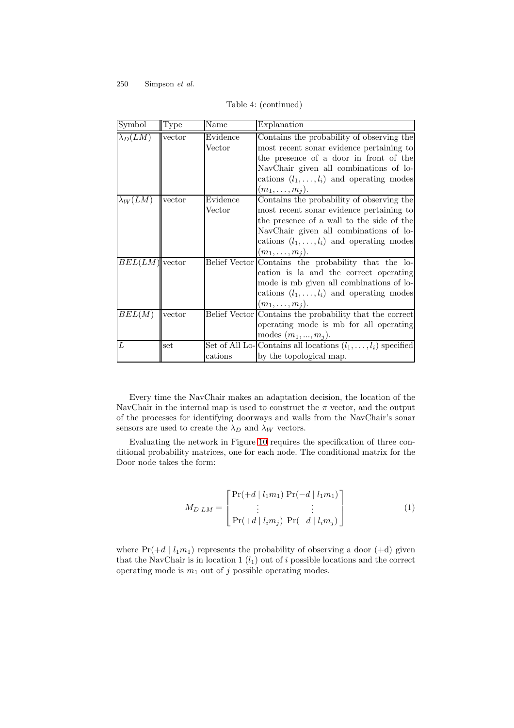| Symbol           | Type   | Name                                             | Explanation                                                                                                                          |
|------------------|--------|--------------------------------------------------|--------------------------------------------------------------------------------------------------------------------------------------|
| $\lambda_D(LM)$  | vector | $\mathop{\rm Evidence}\nolimits$<br>$\rm Vector$ | Contains the probability of observing the<br>most recent sonar evidence pertaining to                                                |
|                  |        |                                                  | the presence of a door in front of the<br>NavChair given all combinations of lo-<br>cations $(l_1, \ldots, l_i)$ and operating modes |
|                  |        |                                                  | $(m_1,\ldots,m_j).$                                                                                                                  |
| $\lambda_W(LM)$  | vector | $\mathop{\rm Evidence}\nolimits$                 | Contains the probability of observing the                                                                                            |
|                  |        | Vector                                           | most recent sonar evidence pertaining to                                                                                             |
|                  |        |                                                  | the presence of a wall to the side of the                                                                                            |
|                  |        |                                                  | NavChair given all combinations of lo-                                                                                               |
|                  |        |                                                  | cations $(l_1, \ldots, l_i)$ and operating modes                                                                                     |
|                  |        |                                                  | $(m_1,\ldots,m_j).$                                                                                                                  |
| $BEL(LM)$ vector |        |                                                  | Belief Vector Contains the probability that the lo-                                                                                  |
|                  |        |                                                  | cation is la and the correct operating                                                                                               |
|                  |        |                                                  | mode is mb given all combinations of lo-                                                                                             |
|                  |        |                                                  | cations $(l_1, \ldots, l_i)$ and operating modes                                                                                     |
|                  |        |                                                  | $(m_1,\ldots,m_j).$                                                                                                                  |
| BEL(M)           | vector |                                                  | Belief Vector Contains the probability that the correct                                                                              |
|                  |        |                                                  | operating mode is mb for all operating                                                                                               |
|                  |        |                                                  | modes $(m_1, , m_i)$ .                                                                                                               |
| L                | set    |                                                  | Set of All Lo-Contains all locations $(l_1, \ldots, l_i)$ specified                                                                  |
|                  |        | cations                                          | by the topological map.                                                                                                              |

Table 4: (continued)

Every time the NavChair makes an adaptation decision, the location of the NavChair in the internal map is used to construct the  $\pi$  vector, and the output of the processes for identifying doorways and walls from the NavChair's sonar sensors are used to create the  $\lambda_D$  and  $\lambda_W$  vectors.

Evaluating the network in Figure [10](#page-16-0) requires the specification of three conditional probability matrices, one for each node. The conditional matrix for the Door node takes the form:

$$
M_{D|LM} = \begin{bmatrix} \Pr(+d \mid l_1 m_1) & \Pr(-d \mid l_1 m_1) \\ \vdots & \vdots \\ \Pr(+d \mid l_i m_j) & \Pr(-d \mid l_i m_j) \end{bmatrix} \tag{1}
$$

where  $Pr(+d \mid l_1m_1)$  represents the probability of observing a door  $(+d)$  given that the NavChair is in location 1  $(l_1)$  out of i possible locations and the correct operating mode is  $m_1$  out of j possible operating modes.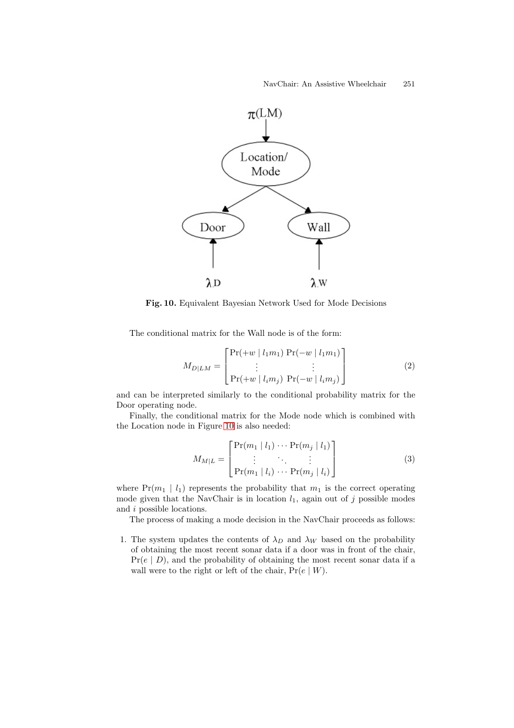

**Fig. 10.** Equivalent Bayesian Network Used for Mode Decisions

<span id="page-16-1"></span><span id="page-16-0"></span>The conditional matrix for the Wall node is of the form:

$$
M_{D|LM} = \begin{bmatrix} \Pr(+w \mid l_1 m_1) \Pr(-w \mid l_1 m_1) \\ \vdots & \vdots \\ \Pr(+w \mid l_i m_j) \Pr(-w \mid l_i m_j) \end{bmatrix}
$$
 (2)

and can be interpreted similarly to the conditional probability matrix for the Door operating node.

Finally, the conditional matrix for the Mode node which is combined with the Location node in Figure [10](#page-16-1) is also needed:

$$
M_{M|L} = \begin{bmatrix} \Pr(m_1 | l_1) \cdots \Pr(m_j | l_1) \\ \vdots & \ddots & \vdots \\ \Pr(m_1 | l_i) \cdots \Pr(m_j | l_i) \end{bmatrix}
$$
 (3)

where  $Pr(m_1 | l_1)$  represents the probability that  $m_1$  is the correct operating mode given that the NavChair is in location  $l_1$ , again out of j possible modes and i possible locations.

The process of making a mode decision in the NavChair proceeds as follows:

1. The system updates the contents of  $\lambda_D$  and  $\lambda_W$  based on the probability of obtaining the most recent sonar data if a door was in front of the chair,  $Pr(e | D)$ , and the probability of obtaining the most recent sonar data if a wall were to the right or left of the chair,  $Pr(e | W)$ .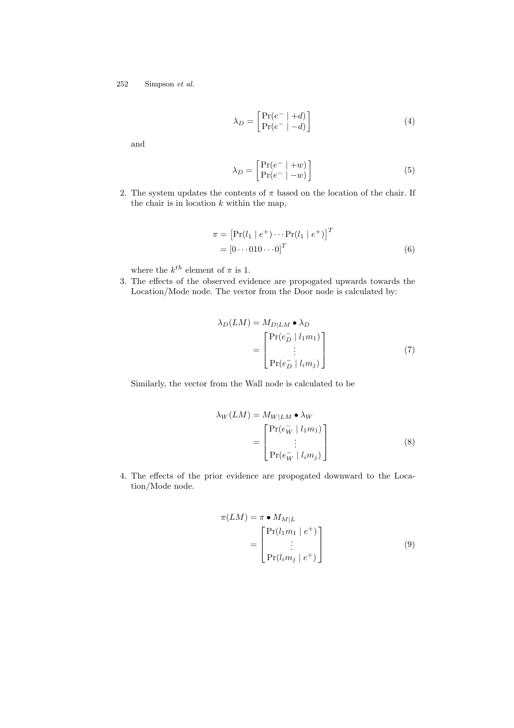$$
\lambda_D = \begin{bmatrix} \Pr(e^- | + d) \\ \Pr(e^- | - d) \end{bmatrix} \tag{4}
$$

and

$$
\lambda_D = \begin{bmatrix} \Pr(e^- \mid +w) \\ \Pr(e^- \mid -w) \end{bmatrix} \tag{5}
$$

2. The system updates the contents of  $\pi$  based on the location of the chair. If the chair is in location  $k$  within the map,

$$
\pi = \left[\Pr(l_1 \mid e^+) \cdots \Pr(l_1 \mid e^+)\right]^T
$$

$$
= \left[0 \cdots 010 \cdots 0\right]^T
$$
(6)

where the  $k^{th}$  element of  $\pi$  is 1.

3. The effects of the observed evidence are propogated upwards towards the Location/Mode node. The vector from the Door node is calculated by:

$$
\lambda_D(LM) = M_{D|LM} \bullet \lambda_D
$$
  
= 
$$
\begin{bmatrix} \Pr(e_D^{-} | l_1 m_1) \\ \vdots \\ \Pr(e_D^{-} | l_i m_j) \end{bmatrix}
$$
 (7)

Similarly, the vector from the Wall node is calculated to be

$$
\lambda_W(LM) = M_{W|LM} \bullet \lambda_W
$$
  
= 
$$
\begin{bmatrix} \Pr(e_W^- \mid l_1 m_1) \\ \vdots \\ \Pr(e_W^- \mid l_i m_j) \end{bmatrix}
$$
 (8)

4. The effects of the prior evidence are propogated downward to the Location/Mode node.

$$
\pi(LM) = \pi \bullet M_{M|L}
$$

$$
= \begin{bmatrix} \Pr(l_1 m_1 \mid e^+) \\ \vdots \\ \Pr(l_i m_j \mid e^+) \end{bmatrix}
$$
(9)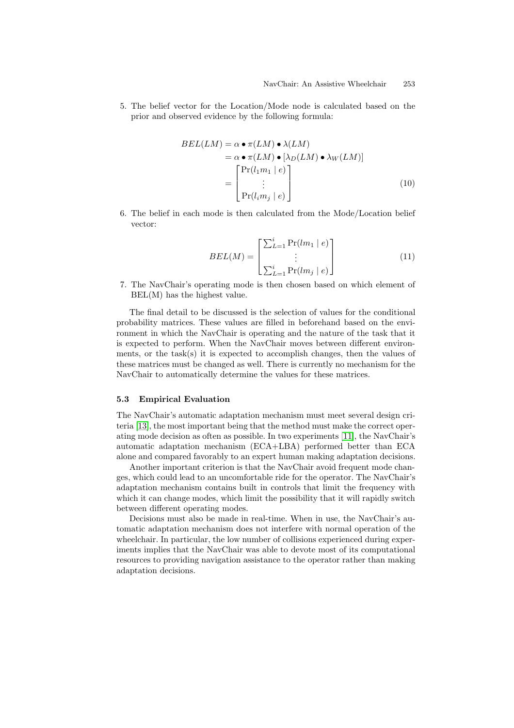5. The belief vector for the Location/Mode node is calculated based on the prior and observed evidence by the following formula:

$$
BEL(LM) = \alpha \bullet \pi(LM) \bullet \lambda(LM)
$$
  
=  $\alpha \bullet \pi(LM) \bullet [\lambda_D(LM) \bullet \lambda_W(LM)]$   
=  $\begin{bmatrix} Pr(l_1m_1 | e) \\ \vdots \\ Pr(l_im_j | e) \end{bmatrix}$  (10)

6. The belief in each mode is then calculated from the Mode/Location belief vector:

$$
BEL(M) = \begin{bmatrix} \sum_{L=1}^{i} \Pr(lm_1 | e) \\ \vdots \\ \sum_{L=1}^{i} \Pr(lm_j | e) \end{bmatrix}
$$
 (11)

7. The NavChair's operating mode is then chosen based on which element of BEL(M) has the highest value.

The final detail to be discussed is the selection of values for the conditional probability matrices. These values are filled in beforehand based on the environment in which the NavChair is operating and the nature of the task that it is expected to perform. When the NavChair moves between different environments, or the task(s) it is expected to accomplish changes, then the values of these matrices must be changed as well. There is currently no mechanism for the NavChair to automatically determine the values for these matrices.

### **5.3 Empirical Evaluation**

The NavChair's automatic adaptation mechanism must meet several design criteria [\[13\]](#page-20-16), the most important being that the method must make the correct operating mode decision as often as possible. In two experiments [\[11\]](#page-20-14), the NavChair's automatic adaptation mechanism (ECA+LBA) performed better than ECA alone and compared favorably to an expert human making adaptation decisions.

Another important criterion is that the NavChair avoid frequent mode changes, which could lead to an uncomfortable ride for the operator. The NavChair's adaptation mechanism contains built in controls that limit the frequency with which it can change modes, which limit the possibility that it will rapidly switch between different operating modes.

Decisions must also be made in real-time. When in use, the NavChair's automatic adaptation mechanism does not interfere with normal operation of the wheelchair. In particular, the low number of collisions experienced during experiments implies that the NavChair was able to devote most of its computational resources to providing navigation assistance to the operator rather than making adaptation decisions.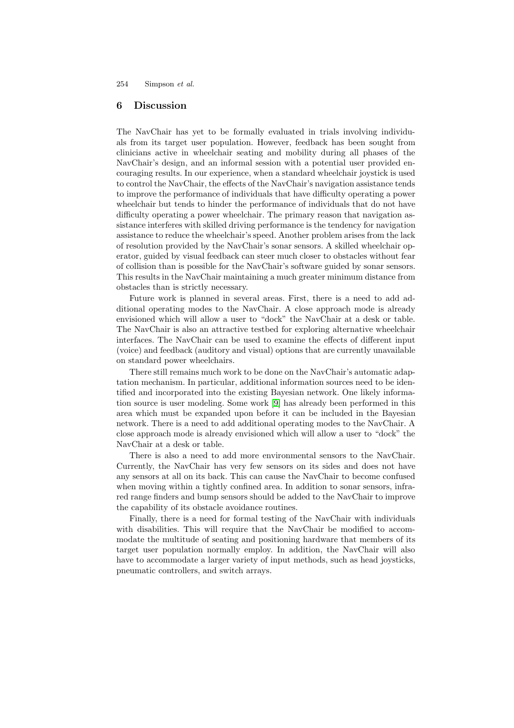## **6 Discussion**

The NavChair has yet to be formally evaluated in trials involving individuals from its target user population. However, feedback has been sought from clinicians active in wheelchair seating and mobility during all phases of the NavChair's design, and an informal session with a potential user provided encouraging results. In our experience, when a standard wheelchair joystick is used to control the NavChair, the effects of the NavChair's navigation assistance tends to improve the performance of individuals that have difficulty operating a power wheelchair but tends to hinder the performance of individuals that do not have difficulty operating a power wheelchair. The primary reason that navigation assistance interferes with skilled driving performance is the tendency for navigation assistance to reduce the wheelchair's speed. Another problem arises from the lack of resolution provided by the NavChair's sonar sensors. A skilled wheelchair operator, guided by visual feedback can steer much closer to obstacles without fear of collision than is possible for the NavChair's software guided by sonar sensors. This results in the NavChair maintaining a much greater minimum distance from obstacles than is strictly necessary.

Future work is planned in several areas. First, there is a need to add additional operating modes to the NavChair. A close approach mode is already envisioned which will allow a user to "dock" the NavChair at a desk or table. The NavChair is also an attractive testbed for exploring alternative wheelchair interfaces. The NavChair can be used to examine the effects of different input (voice) and feedback (auditory and visual) options that are currently unavailable on standard power wheelchairs.

There still remains much work to be done on the NavChair's automatic adaptation mechanism. In particular, additional information sources need to be identified and incorporated into the existing Bayesian network. One likely information source is user modeling. Some work [\[9\]](#page-20-10) has already been performed in this area which must be expanded upon before it can be included in the Bayesian network. There is a need to add additional operating modes to the NavChair. A close approach mode is already envisioned which will allow a user to "dock" the NavChair at a desk or table.

There is also a need to add more environmental sensors to the NavChair. Currently, the NavChair has very few sensors on its sides and does not have any sensors at all on its back. This can cause the NavChair to become confused when moving within a tightly confined area. In addition to sonar sensors, infrared range finders and bump sensors should be added to the NavChair to improve the capability of its obstacle avoidance routines.

Finally, there is a need for formal testing of the NavChair with individuals with disabilities. This will require that the NavChair be modified to accommodate the multitude of seating and positioning hardware that members of its target user population normally employ. In addition, the NavChair will also have to accommodate a larger variety of input methods, such as head joysticks, pneumatic controllers, and switch arrays.